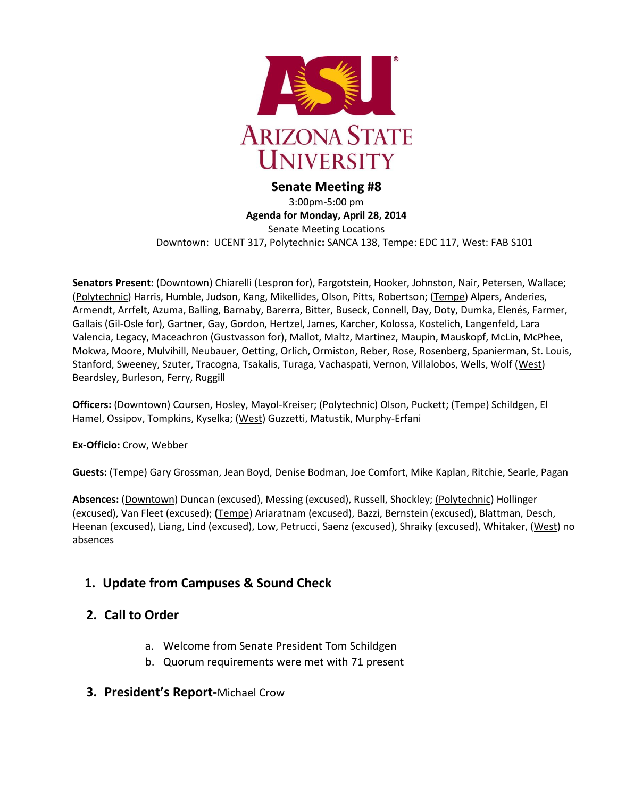

**Senate Meeting #8** 3:00pm-5:00 pm **Agenda for Monday, April 28, 2014** Senate Meeting Locations Downtown: UCENT 317**,** Polytechnic**:** SANCA 138, Tempe: EDC 117, West: FAB S101

**Senators Present:** (Downtown) Chiarelli (Lespron for), Fargotstein, Hooker, Johnston, Nair, Petersen, Wallace; (Polytechnic) Harris, Humble, Judson, Kang, Mikellides, Olson, Pitts, Robertson; (Tempe) Alpers, Anderies, Armendt, Arrfelt, Azuma, Balling, Barnaby, Barerra, Bitter, Buseck, Connell, Day, Doty, Dumka, Elenés, Farmer, Gallais (Gil-Osle for), Gartner, Gay, Gordon, Hertzel, James, Karcher, Kolossa, Kostelich, Langenfeld, Lara Valencia, Legacy, Maceachron (Gustvasson for), Mallot, Maltz, Martinez, Maupin, Mauskopf, McLin, McPhee, Mokwa, Moore, Mulvihill, Neubauer, Oetting, Orlich, Ormiston, Reber, Rose, Rosenberg, Spanierman, St. Louis, Stanford, Sweeney, Szuter, Tracogna, Tsakalis, Turaga, Vachaspati, Vernon, Villalobos, Wells, Wolf (West) Beardsley, Burleson, Ferry, Ruggill

**Officers:** (Downtown) Coursen, Hosley, Mayol-Kreiser; (Polytechnic) Olson, Puckett; (Tempe) Schildgen, El Hamel, Ossipov, Tompkins, Kyselka; (West) Guzzetti, Matustik, Murphy-Erfani

**Ex-Officio:** Crow, Webber

**Guests:** (Tempe) Gary Grossman, Jean Boyd, Denise Bodman, Joe Comfort, Mike Kaplan, Ritchie, Searle, Pagan

**Absences:** (Downtown) Duncan (excused), Messing (excused), Russell, Shockley; (Polytechnic) Hollinger (excused), Van Fleet (excused); **(**Tempe) Ariaratnam (excused), Bazzi, Bernstein (excused), Blattman, Desch, Heenan (excused), Liang, Lind (excused), Low, Petrucci, Saenz (excused), Shraiky (excused), Whitaker, (West) no absences

# **1. Update from Campuses & Sound Check**

# **2. Call to Order**

- a. Welcome from Senate President Tom Schildgen
- b. Quorum requirements were met with 71 present
- **3. President's Report-**Michael Crow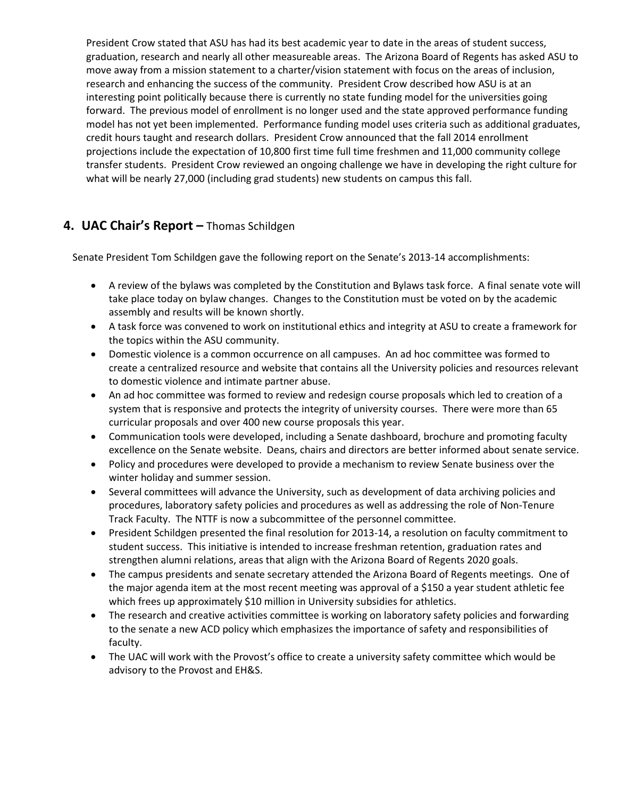President Crow stated that ASU has had its best academic year to date in the areas of student success, graduation, research and nearly all other measureable areas. The Arizona Board of Regents has asked ASU to move away from a mission statement to a charter/vision statement with focus on the areas of inclusion, research and enhancing the success of the community. President Crow described how ASU is at an interesting point politically because there is currently no state funding model for the universities going forward. The previous model of enrollment is no longer used and the state approved performance funding model has not yet been implemented. Performance funding model uses criteria such as additional graduates, credit hours taught and research dollars. President Crow announced that the fall 2014 enrollment projections include the expectation of 10,800 first time full time freshmen and 11,000 community college transfer students. President Crow reviewed an ongoing challenge we have in developing the right culture for what will be nearly 27,000 (including grad students) new students on campus this fall.

## **4. UAC Chair's Report –** Thomas Schildgen

Senate President Tom Schildgen gave the following report on the Senate's 2013-14 accomplishments:

- A review of the bylaws was completed by the Constitution and Bylaws task force. A final senate vote will take place today on bylaw changes. Changes to the Constitution must be voted on by the academic assembly and results will be known shortly.
- A task force was convened to work on institutional ethics and integrity at ASU to create a framework for the topics within the ASU community.
- Domestic violence is a common occurrence on all campuses. An ad hoc committee was formed to create a centralized resource and website that contains all the University policies and resources relevant to domestic violence and intimate partner abuse.
- An ad hoc committee was formed to review and redesign course proposals which led to creation of a system that is responsive and protects the integrity of university courses. There were more than 65 curricular proposals and over 400 new course proposals this year.
- Communication tools were developed, including a Senate dashboard, brochure and promoting faculty excellence on the Senate website. Deans, chairs and directors are better informed about senate service.
- Policy and procedures were developed to provide a mechanism to review Senate business over the winter holiday and summer session.
- Several committees will advance the University, such as development of data archiving policies and procedures, laboratory safety policies and procedures as well as addressing the role of Non-Tenure Track Faculty. The NTTF is now a subcommittee of the personnel committee.
- President Schildgen presented the final resolution for 2013-14, a resolution on faculty commitment to student success. This initiative is intended to increase freshman retention, graduation rates and strengthen alumni relations, areas that align with the Arizona Board of Regents 2020 goals.
- The campus presidents and senate secretary attended the Arizona Board of Regents meetings. One of the major agenda item at the most recent meeting was approval of a \$150 a year student athletic fee which frees up approximately \$10 million in University subsidies for athletics.
- The research and creative activities committee is working on laboratory safety policies and forwarding to the senate a new ACD policy which emphasizes the importance of safety and responsibilities of faculty.
- The UAC will work with the Provost's office to create a university safety committee which would be advisory to the Provost and EH&S.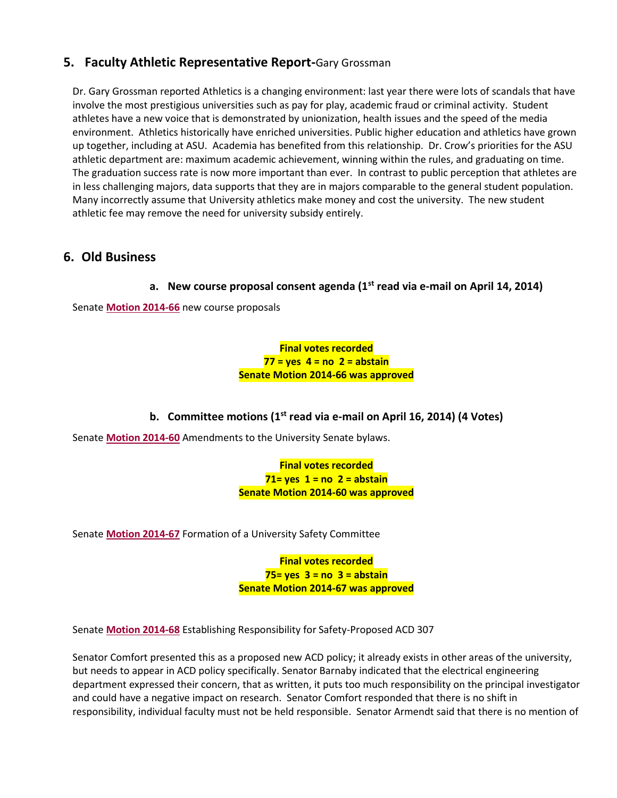## **5. Faculty Athletic Representative Report-**Gary Grossman

Dr. Gary Grossman reported Athletics is a changing environment: last year there were lots of scandals that have involve the most prestigious universities such as pay for play, academic fraud or criminal activity. Student athletes have a new voice that is demonstrated by unionization, health issues and the speed of the media environment. Athletics historically have enriched universities. Public higher education and athletics have grown up together, including at ASU. Academia has benefited from this relationship. Dr. Crow's priorities for the ASU athletic department are: maximum academic achievement, winning within the rules, and graduating on time. The graduation success rate is now more important than ever. In contrast to public perception that athletes are in less challenging majors, data supports that they are in majors comparable to the general student population. Many incorrectly assume that University athletics make money and cost the university. The new student athletic fee may remove the need for university subsidy entirely.

## **6. Old Business**

### **a. New course proposal consent agenda (1st read via e-mail on April 14, 2014)**

Senate **[Motion 2014-66](http://usenate.asu.edu/node/4971)** new course proposals

**Final votes recorded 77 = yes 4 = no 2 = abstain Senate Motion 2014-66 was approved**

### **b. Committee motions (1st read via e-mail on April 16, 2014) (4 Votes)**

Senate **[Motion 2014-60](http://usenate.asu.edu/node/4926)** Amendments to the University Senate bylaws.

**Final votes recorded 71= yes 1 = no 2 = abstain Senate Motion 2014-60 was approved**

Senate **[Motion 2014-67](http://usenate.asu.edu/node/4972)** Formation of a University Safety Committee

**Final votes recorded 75= yes 3 = no 3 = abstain Senate Motion 2014-67 was approved**

Senate **[Motion 2014-68](http://usenate.asu.edu/node/4973)** Establishing Responsibility for Safety-Proposed ACD 307

Senator Comfort presented this as a proposed new ACD policy; it already exists in other areas of the university, but needs to appear in ACD policy specifically. Senator Barnaby indicated that the electrical engineering department expressed their concern, that as written, it puts too much responsibility on the principal investigator and could have a negative impact on research. Senator Comfort responded that there is no shift in responsibility, individual faculty must not be held responsible. Senator Armendt said that there is no mention of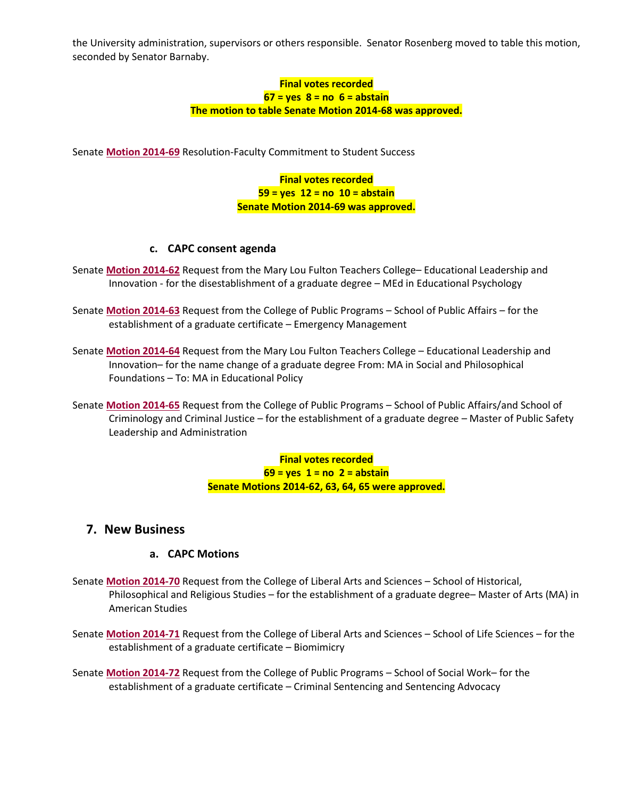the University administration, supervisors or others responsible. Senator Rosenberg moved to table this motion, seconded by Senator Barnaby.

> **Final votes recorded 67 = yes 8 = no 6 = abstain The motion to table Senate Motion 2014-68 was approved.**

Senate **[Motion 2014-69](http://usenate.asu.edu/node/4974)** Resolution-Faculty Commitment to Student Success

**Final votes recorded 59 = yes 12 = no 10 = abstain Senate Motion 2014-69 was approved.**

#### **c. CAPC consent agenda**

- Senate **[Motion 2014-62](http://usenate.asu.edu/node/4927)** Request from the Mary Lou Fulton Teachers College– Educational Leadership and Innovation - for the disestablishment of a graduate degree – MEd in Educational Psychology
- Senate **[Motion 2014-63](http://usenate.asu.edu/node/4928)** Request from the College of Public Programs School of Public Affairs for the establishment of a graduate certificate – Emergency Management
- Senate **[Motion 2014-64](http://usenate.asu.edu/node/4929)** Request from the Mary Lou Fulton Teachers College Educational Leadership and Innovation– for the name change of a graduate degree From: MA in Social and Philosophical Foundations – To: MA in Educational Policy
- Senate **[Motion 2014-65](http://usenate.asu.edu/node/4939)** Request from the College of Public Programs School of Public Affairs/and School of Criminology and Criminal Justice – for the establishment of a graduate degree – Master of Public Safety Leadership and Administration

**Final votes recorded 69 = yes 1 = no 2 = abstain Senate Motions 2014-62, 63, 64, 65 were approved.**

### **7. New Business**

### **a. CAPC Motions**

- Senate **[Motion 2014-70](http://usenate.asu.edu/node/4977)** Request from the College of Liberal Arts and Sciences School of Historical, Philosophical and Religious Studies – for the establishment of a graduate degree– Master of Arts (MA) in American Studies
- Senate **[Motion 2014-71](http://usenate.asu.edu/node/4978)** Request from the College of Liberal Arts and Sciences School of Life Sciences for the establishment of a graduate certificate – Biomimicry

Senate **[Motion 2014-72](http://usenate.asu.edu/node/4979)** Request from the College of Public Programs – School of Social Work– for the establishment of a graduate certificate – Criminal Sentencing and Sentencing Advocacy